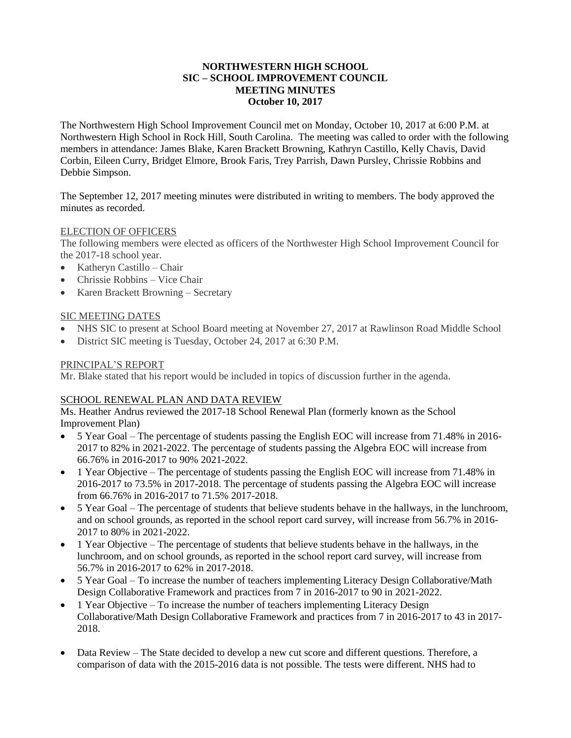## **NORTHWESTERN HIGH SCHOOL SIC – SCHOOL IMPROVEMENT COUNCIL MEETING MINUTES October 10, 2017**

The Northwestern High School Improvement Council met on Monday, October 10, 2017 at 6:00 P.M. at Northwestern High School in Rock Hill, South Carolina. The meeting was called to order with the following members in attendance: James Blake, Karen Brackett Browning, Kathryn Castillo, Kelly Chavis, David Corbin, Eileen Curry, Bridget Elmore, Brook Faris, Trey Parrish, Dawn Pursley, Chrissie Robbins and Debbie Simpson.

The September 12, 2017 meeting minutes were distributed in writing to members. The body approved the minutes as recorded.

## ELECTION OF OFFICERS

The following members were elected as officers of the Northwester High School Improvement Council for the 2017-18 school year.

- Katheryn Castillo Chair
- Chrissie Robbins Vice Chair
- Karen Brackett Browning Secretary

## SIC MEETING DATES

- NHS SIC to present at School Board meeting at November 27, 2017 at Rawlinson Road Middle School
- District SIC meeting is Tuesday, October 24, 2017 at 6:30 P.M.

## PRINCIPAL'S REPORT

Mr. Blake stated that his report would be included in topics of discussion further in the agenda.

## SCHOOL RENEWAL PLAN AND DATA REVIEW

Ms. Heather Andrus reviewed the 2017-18 School Renewal Plan (formerly known as the School Improvement Plan)

- 5 Year Goal The percentage of students passing the English EOC will increase from 71.48% in 2016- 2017 to 82% in 2021-2022. The percentage of students passing the Algebra EOC will increase from 66.76% in 2016-2017 to 90% 2021-2022.
- 1 Year Objective The percentage of students passing the English EOC will increase from 71.48% in 2016-2017 to 73.5% in 2017-2018. The percentage of students passing the Algebra EOC will increase from 66.76% in 2016-2017 to 71.5% 2017-2018.
- 5 Year Goal The percentage of students that believe students behave in the hallways, in the lunchroom, and on school grounds, as reported in the school report card survey, will increase from 56.7% in 2016- 2017 to 80% in 2021-2022.
- 1 Year Objective The percentage of students that believe students behave in the hallways, in the lunchroom, and on school grounds, as reported in the school report card survey, will increase from 56.7% in 2016-2017 to 62% in 2017-2018.
- 5 Year Goal To increase the number of teachers implementing Literacy Design Collaborative/Math Design Collaborative Framework and practices from 7 in 2016-2017 to 90 in 2021-2022.
- 1 Year Objective To increase the number of teachers implementing Literacy Design Collaborative/Math Design Collaborative Framework and practices from 7 in 2016-2017 to 43 in 2017- 2018.
- Data Review The State decided to develop a new cut score and different questions. Therefore, a comparison of data with the 2015-2016 data is not possible. The tests were different. NHS had to